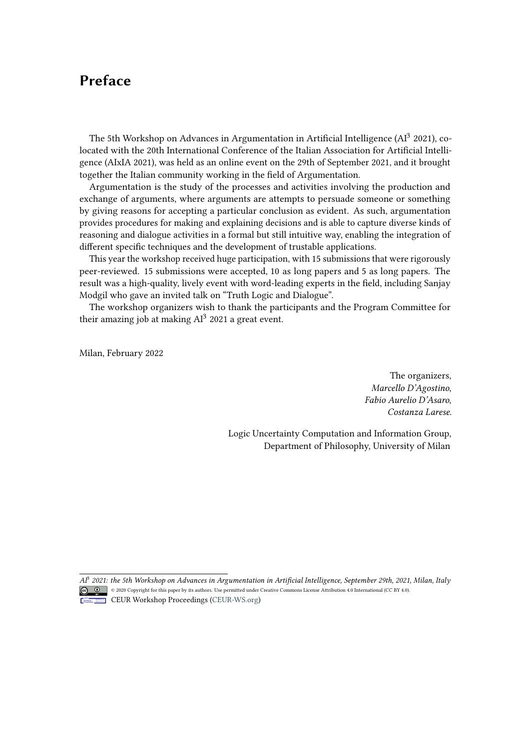## **Preface**

The 5th Workshop on Advances in Argumentation in Artificial Intelligence (AI<sup>3</sup> 2021), colocated with the 20th International Conference of the Italian Association for Artificial Intelligence (AIxIA 2021), was held as an online event on the 29th of September 2021, and it brought together the Italian community working in the field of Argumentation.

Argumentation is the study of the processes and activities involving the production and exchange of arguments, where arguments are attempts to persuade someone or something by giving reasons for accepting a particular conclusion as evident. As such, argumentation provides procedures for making and explaining decisions and is able to capture diverse kinds of reasoning and dialogue activities in a formal but still intuitive way, enabling the integration of different specific techniques and the development of trustable applications.

This year the workshop received huge participation, with 15 submissions that were rigorously peer-reviewed. 15 submissions were accepted, 10 as long papers and 5 as long papers. The result was a high-quality, lively event with word-leading experts in the field, including Sanjay Modgil who gave an invited talk on "Truth Logic and Dialogue".

The workshop organizers wish to thank the participants and the Program Committee for their amazing job at making AI<sup>3</sup> 2021 a great event.

Milan, February 2022

The organizers, *Marcello D'Agostino*, *Fabio Aurelio D'Asaro*, *Costanza Larese*.

Logic Uncertainty Computation and Information Group, Department of Philosophy, University of Milan



*AI*<sup>3</sup> *2021: the 5th Workshop on Advances in Argumentation in Artificial Intelligence, September 29th, 2021, Milan, Italy* © 2020 Copyright for this paper by its authors. Use permitted under Creative Commons License Attribution 4.0 International (CC BY 4.0). CEUR Workshop [Proceedings](http://ceur-ws.org) [\(CEUR-WS.org\)](http://ceur-ws.org)